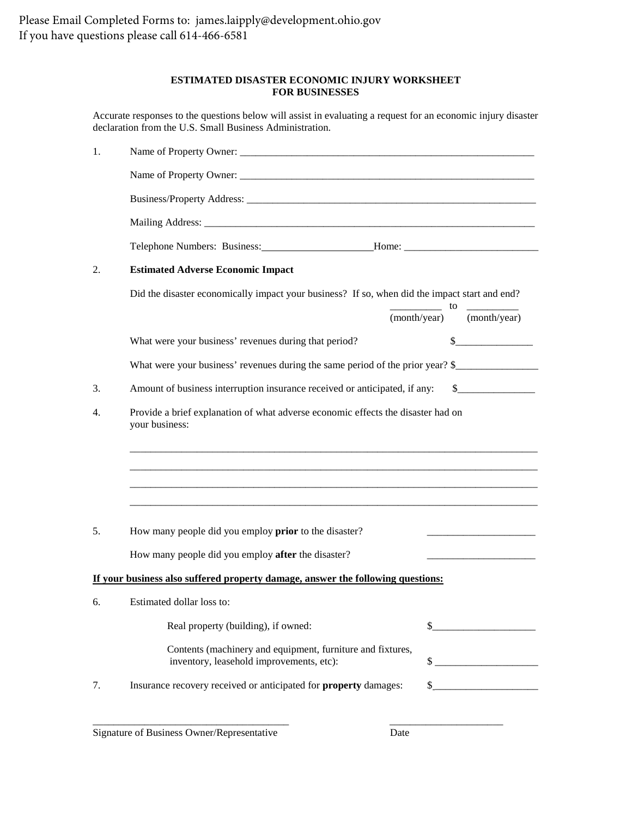#### **ESTIMATED DISASTER ECONOMIC INJURY WORKSHEET FOR BUSINESSES**

Accurate responses to the questions below will assist in evaluating a request for an economic injury disaster declaration from the U.S. Small Business Administration.

| 1. | Name of Property Owner:                                                                                |       |  |                                                                                                                                                                                                                                                                                                                                                                     |
|----|--------------------------------------------------------------------------------------------------------|-------|--|---------------------------------------------------------------------------------------------------------------------------------------------------------------------------------------------------------------------------------------------------------------------------------------------------------------------------------------------------------------------|
|    |                                                                                                        |       |  |                                                                                                                                                                                                                                                                                                                                                                     |
|    |                                                                                                        |       |  |                                                                                                                                                                                                                                                                                                                                                                     |
|    |                                                                                                        |       |  |                                                                                                                                                                                                                                                                                                                                                                     |
|    |                                                                                                        |       |  |                                                                                                                                                                                                                                                                                                                                                                     |
| 2. | <b>Estimated Adverse Economic Impact</b>                                                               |       |  |                                                                                                                                                                                                                                                                                                                                                                     |
|    | Did the disaster economically impact your business? If so, when did the impact start and end?          | to to |  |                                                                                                                                                                                                                                                                                                                                                                     |
|    |                                                                                                        |       |  | (month/year) (month/year)                                                                                                                                                                                                                                                                                                                                           |
|    | What were your business' revenues during that period?                                                  |       |  | $\frac{1}{1}$                                                                                                                                                                                                                                                                                                                                                       |
|    | What were your business' revenues during the same period of the prior year? \$                         |       |  |                                                                                                                                                                                                                                                                                                                                                                     |
| 3. | Amount of business interruption insurance received or anticipated, if any:                             |       |  | $\sim$                                                                                                                                                                                                                                                                                                                                                              |
| 4. | Provide a brief explanation of what adverse economic effects the disaster had on<br>your business:     |       |  |                                                                                                                                                                                                                                                                                                                                                                     |
|    |                                                                                                        |       |  |                                                                                                                                                                                                                                                                                                                                                                     |
|    |                                                                                                        |       |  |                                                                                                                                                                                                                                                                                                                                                                     |
|    |                                                                                                        |       |  |                                                                                                                                                                                                                                                                                                                                                                     |
|    |                                                                                                        |       |  |                                                                                                                                                                                                                                                                                                                                                                     |
| 5. | How many people did you employ <b>prior</b> to the disaster?                                           |       |  | and the state of the state of the state of                                                                                                                                                                                                                                                                                                                          |
|    | How many people did you employ after the disaster?                                                     |       |  |                                                                                                                                                                                                                                                                                                                                                                     |
|    | If your business also suffered property damage, answer the following questions:                        |       |  |                                                                                                                                                                                                                                                                                                                                                                     |
| 6. | Estimated dollar loss to:                                                                              |       |  |                                                                                                                                                                                                                                                                                                                                                                     |
|    | Real property (building), if owned:                                                                    | \$    |  |                                                                                                                                                                                                                                                                                                                                                                     |
|    | Contents (machinery and equipment, furniture and fixtures,<br>inventory, leasehold improvements, etc): |       |  |                                                                                                                                                                                                                                                                                                                                                                     |
| 7. | Insurance recovery received or anticipated for <b>property</b> damages:                                |       |  | $\begin{picture}(20,10) \put(0,0){\vector(1,0){100}} \put(15,0){\vector(1,0){100}} \put(15,0){\vector(1,0){100}} \put(15,0){\vector(1,0){100}} \put(15,0){\vector(1,0){100}} \put(15,0){\vector(1,0){100}} \put(15,0){\vector(1,0){100}} \put(15,0){\vector(1,0){100}} \put(15,0){\vector(1,0){100}} \put(15,0){\vector(1,0){100}} \put(15,0){\vector(1,0){100}} \$ |
|    |                                                                                                        |       |  |                                                                                                                                                                                                                                                                                                                                                                     |

\_\_\_\_\_\_\_\_\_\_\_\_\_\_\_\_\_\_\_\_\_\_\_\_\_\_\_\_\_\_\_\_\_\_\_\_\_\_ \_\_\_\_\_\_\_\_\_\_\_\_\_\_\_\_\_\_\_\_\_\_

Signature of Business Owner/Representative Date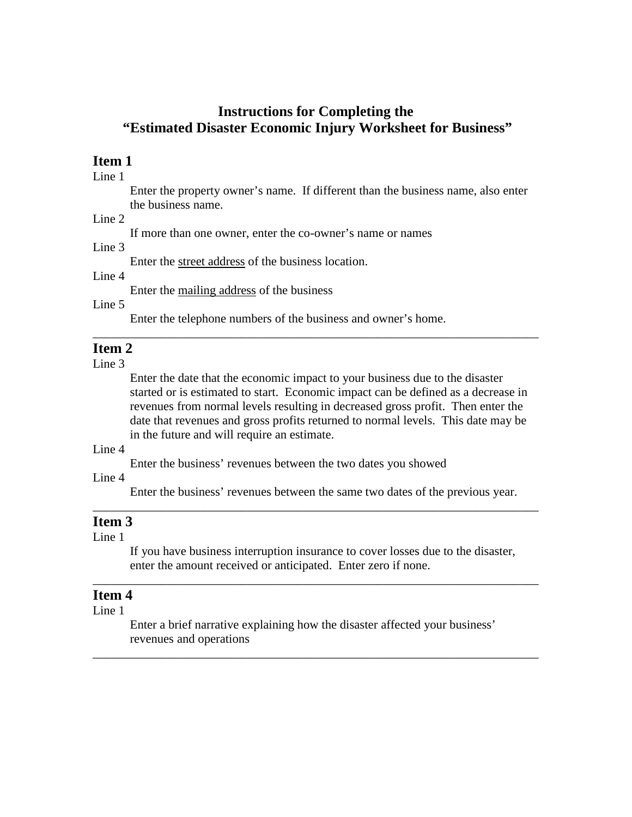# **Instructions for Completing the "Estimated Disaster Economic Injury Worksheet for Business"**

### **Item 1**

Line 1

Enter the property owner's name. If different than the business name, also enter the business name.

#### Line  $2$

If more than one owner, enter the co-owner's name or names

### Line 3

Enter the street address of the business location.

Line 4

Enter the mailing address of the business

Line 5

Enter the telephone numbers of the business and owner's home.

## **Item 2**

Line 3

Enter the date that the economic impact to your business due to the disaster started or is estimated to start. Economic impact can be defined as a decrease in revenues from normal levels resulting in decreased gross profit. Then enter the date that revenues and gross profits returned to normal levels. This date may be in the future and will require an estimate.

\_\_\_\_\_\_\_\_\_\_\_\_\_\_\_\_\_\_\_\_\_\_\_\_\_\_\_\_\_\_\_\_\_\_\_\_\_\_\_\_\_\_\_\_\_\_\_\_\_\_\_\_\_\_\_\_\_\_\_\_\_\_\_\_\_\_\_\_\_\_\_\_

### Line 4

Enter the business' revenues between the two dates you showed

Line 4

Enter the business' revenues between the same two dates of the previous year.

\_\_\_\_\_\_\_\_\_\_\_\_\_\_\_\_\_\_\_\_\_\_\_\_\_\_\_\_\_\_\_\_\_\_\_\_\_\_\_\_\_\_\_\_\_\_\_\_\_\_\_\_\_\_\_\_\_\_\_\_\_\_\_\_\_\_\_\_\_\_\_\_

#### **Item 3**

Line 1

If you have business interruption insurance to cover losses due to the disaster, enter the amount received or anticipated. Enter zero if none.

\_\_\_\_\_\_\_\_\_\_\_\_\_\_\_\_\_\_\_\_\_\_\_\_\_\_\_\_\_\_\_\_\_\_\_\_\_\_\_\_\_\_\_\_\_\_\_\_\_\_\_\_\_\_\_\_\_\_\_\_\_\_\_\_\_\_\_\_\_\_\_\_

## **Item 4**

Line 1

Enter a brief narrative explaining how the disaster affected your business' revenues and operations

\_\_\_\_\_\_\_\_\_\_\_\_\_\_\_\_\_\_\_\_\_\_\_\_\_\_\_\_\_\_\_\_\_\_\_\_\_\_\_\_\_\_\_\_\_\_\_\_\_\_\_\_\_\_\_\_\_\_\_\_\_\_\_\_\_\_\_\_\_\_\_\_